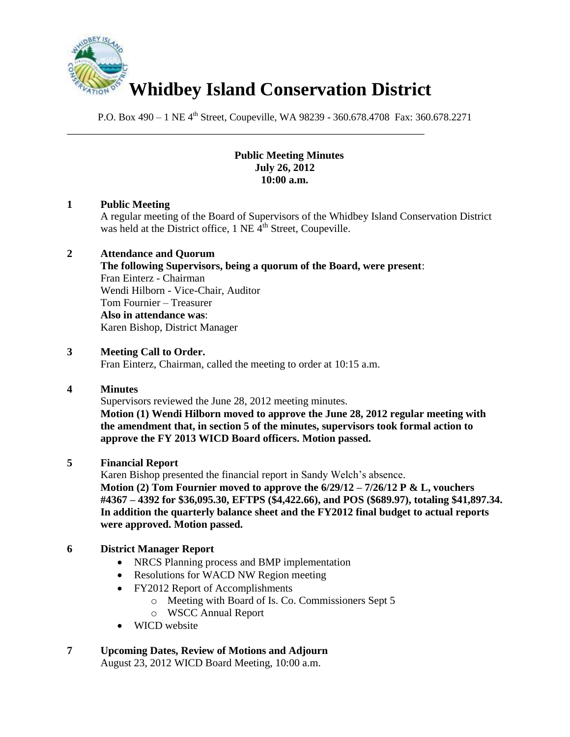

\_\_\_\_\_\_\_\_\_\_\_\_\_\_\_\_\_\_\_\_\_\_\_\_\_\_\_\_\_\_\_\_\_\_\_\_\_\_\_\_\_\_\_\_\_\_\_\_\_\_\_\_\_\_\_\_\_\_\_\_\_\_\_\_

P.O. Box 490 – 1 NE 4<sup>th</sup> Street, Coupeville, WA 98239 - 360.678.4708 Fax: 360.678.2271

#### **Public Meeting Minutes July 26, 2012 10:00 a.m.**

## **1 Public Meeting**

A regular meeting of the Board of Supervisors of the Whidbey Island Conservation District was held at the District office,  $1$  NE  $\overline{4}^{th}$  Street, Coupeville.

## **2 Attendance and Quorum**

**The following Supervisors, being a quorum of the Board, were present**: Fran Einterz - Chairman Wendi Hilborn - Vice-Chair, Auditor Tom Fournier – Treasurer **Also in attendance was**: Karen Bishop, District Manager

## **3 Meeting Call to Order.**

Fran Einterz, Chairman, called the meeting to order at 10:15 a.m.

## **4 Minutes**

Supervisors reviewed the June 28, 2012 meeting minutes.

**Motion (1) Wendi Hilborn moved to approve the June 28, 2012 regular meeting with the amendment that, in section 5 of the minutes, supervisors took formal action to approve the FY 2013 WICD Board officers. Motion passed.**

## **5 Financial Report**

Karen Bishop presented the financial report in Sandy Welch's absence. **Motion (2) Tom Fournier moved to approve the 6/29/12 – 7/26/12 P & L, vouchers #4367 – 4392 for \$36,095.30, EFTPS (\$4,422.66), and POS (\$689.97), totaling \$41,897.34. In addition the quarterly balance sheet and the FY2012 final budget to actual reports were approved. Motion passed.**

# **6 District Manager Report**

- NRCS Planning process and BMP implementation
- Resolutions for WACD NW Region meeting
- FY2012 Report of Accomplishments
	- o Meeting with Board of Is. Co. Commissioners Sept 5
	- o WSCC Annual Report
- WICD website

# **7 Upcoming Dates, Review of Motions and Adjourn**

August 23, 2012 WICD Board Meeting, 10:00 a.m.